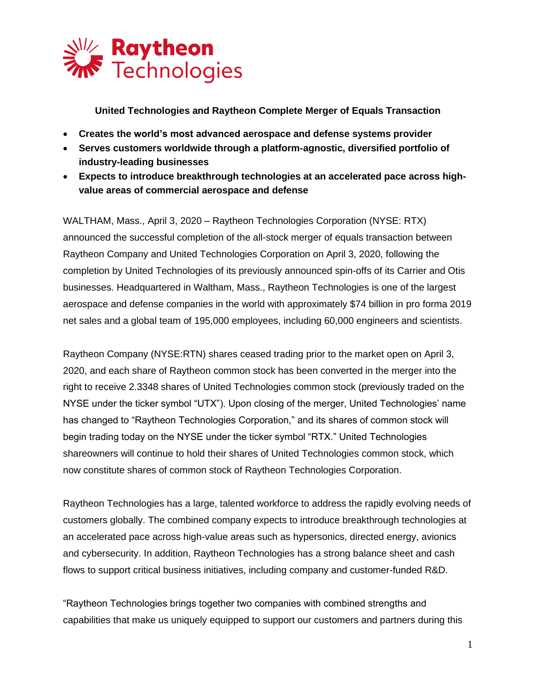

**United Technologies and Raytheon Complete Merger of Equals Transaction**

- **Creates the world's most advanced aerospace and defense systems provider**
- **Serves customers worldwide through a platform-agnostic, diversified portfolio of industry-leading businesses**
- **Expects to introduce breakthrough technologies at an accelerated pace across highvalue areas of commercial aerospace and defense**

WALTHAM, Mass., April 3, 2020 – Raytheon Technologies Corporation (NYSE: RTX) announced the successful completion of the all-stock merger of equals transaction between Raytheon Company and United Technologies Corporation on April 3, 2020, following the completion by United Technologies of its previously announced spin-offs of its Carrier and Otis businesses. Headquartered in Waltham, Mass., Raytheon Technologies is one of the largest aerospace and defense companies in the world with approximately \$74 billion in pro forma 2019 net sales and a global team of 195,000 employees, including 60,000 engineers and scientists.

Raytheon Company (NYSE:RTN) shares ceased trading prior to the market open on April 3, 2020, and each share of Raytheon common stock has been converted in the merger into the right to receive 2.3348 shares of United Technologies common stock (previously traded on the NYSE under the ticker symbol "UTX"). Upon closing of the merger, United Technologies' name has changed to "Raytheon Technologies Corporation," and its shares of common stock will begin trading today on the NYSE under the ticker symbol "RTX." United Technologies shareowners will continue to hold their shares of United Technologies common stock, which now constitute shares of common stock of Raytheon Technologies Corporation.

Raytheon Technologies has a large, talented workforce to address the rapidly evolving needs of customers globally. The combined company expects to introduce breakthrough technologies at an accelerated pace across high-value areas such as hypersonics, directed energy, avionics and cybersecurity. In addition, Raytheon Technologies has a strong balance sheet and cash flows to support critical business initiatives, including company and customer-funded R&D.

"Raytheon Technologies brings together two companies with combined strengths and capabilities that make us uniquely equipped to support our customers and partners during this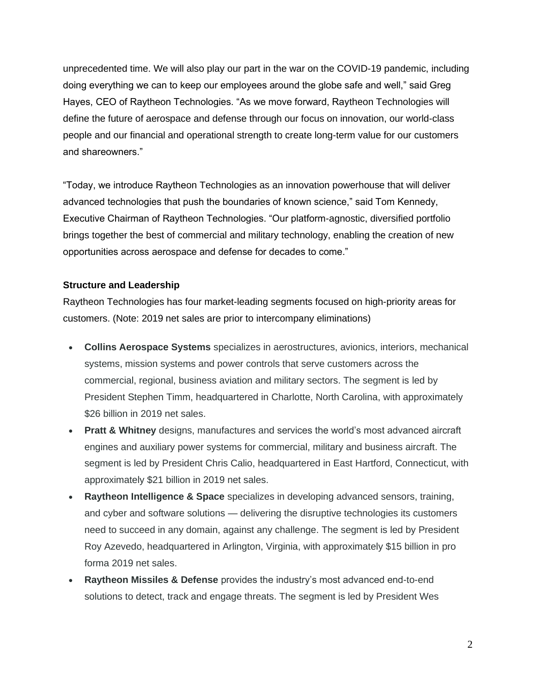unprecedented time. We will also play our part in the war on the COVID-19 pandemic, including doing everything we can to keep our employees around the globe safe and well," said Greg Hayes, CEO of Raytheon Technologies. "As we move forward, Raytheon Technologies will define the future of aerospace and defense through our focus on innovation, our world-class people and our financial and operational strength to create long-term value for our customers and shareowners."

"Today, we introduce Raytheon Technologies as an innovation powerhouse that will deliver advanced technologies that push the boundaries of known science," said Tom Kennedy, Executive Chairman of Raytheon Technologies. "Our platform-agnostic, diversified portfolio brings together the best of commercial and military technology, enabling the creation of new opportunities across aerospace and defense for decades to come."

## **Structure and Leadership**

Raytheon Technologies has four market-leading segments focused on high-priority areas for customers. (Note: 2019 net sales are prior to intercompany eliminations)

- **Collins Aerospace Systems** specializes in aerostructures, avionics, interiors, mechanical systems, mission systems and power controls that serve customers across the commercial, regional, business aviation and military sectors. The segment is led by President Stephen Timm, headquartered in Charlotte, North Carolina, with approximately \$26 billion in 2019 net sales.
- **Pratt & Whitney** designs, manufactures and services the world's most advanced aircraft engines and auxiliary power systems for commercial, military and business aircraft. The segment is led by President Chris Calio, headquartered in East Hartford, Connecticut, with approximately \$21 billion in 2019 net sales.
- **Raytheon Intelligence & Space** specializes in developing advanced sensors, training, and cyber and software solutions — delivering the disruptive technologies its customers need to succeed in any domain, against any challenge. The segment is led by President Roy Azevedo, headquartered in Arlington, Virginia, with approximately \$15 billion in pro forma 2019 net sales.
- **Raytheon Missiles & Defense** provides the industry's most advanced end-to-end solutions to detect, track and engage threats. The segment is led by President Wes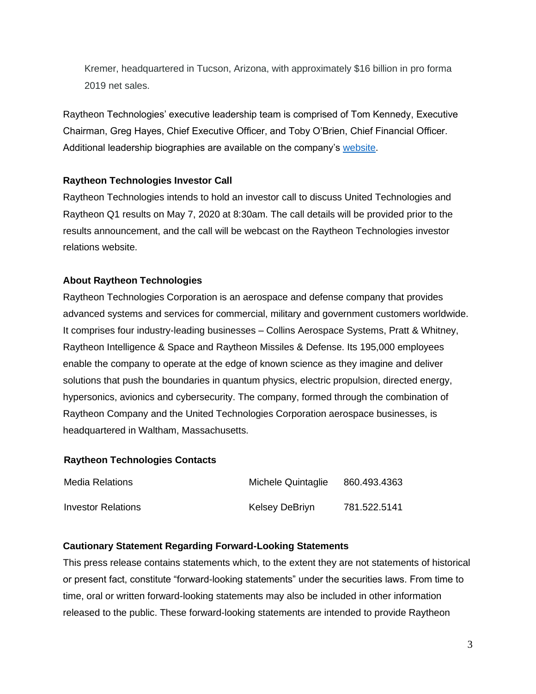Kremer, headquartered in Tucson, Arizona, with approximately \$16 billion in pro forma 2019 net sales.

Raytheon Technologies' executive leadership team is comprised of Tom Kennedy, Executive Chairman, Greg Hayes, Chief Executive Officer, and Toby O'Brien, Chief Financial Officer. Additional leadership biographies are available on the company's [website.](https://www.rtx.com/our-company/our-leadership/)

# **Raytheon Technologies Investor Call**

Raytheon Technologies intends to hold an investor call to discuss United Technologies and Raytheon Q1 results on May 7, 2020 at 8:30am. The call details will be provided prior to the results announcement, and the call will be webcast on the Raytheon Technologies investor relations website.

# **About Raytheon Technologies**

Raytheon Technologies Corporation is an aerospace and defense company that provides advanced systems and services for commercial, military and government customers worldwide. It comprises four industry-leading businesses – Collins Aerospace Systems, Pratt & Whitney, Raytheon Intelligence & Space and Raytheon Missiles & Defense. Its 195,000 employees enable the company to operate at the edge of known science as they imagine and deliver solutions that push the boundaries in quantum physics, electric propulsion, directed energy, hypersonics, avionics and cybersecurity. The company, formed through the combination of Raytheon Company and the United Technologies Corporation aerospace businesses, is headquartered in Waltham, Massachusetts.

# **Raytheon Technologies Contacts**

| Media Relations    | Michele Quintaglie | 860.493.4363 |
|--------------------|--------------------|--------------|
| Investor Relations | Kelsey DeBriyn     | 781.522.5141 |

# **Cautionary Statement Regarding Forward-Looking Statements**

This press release contains statements which, to the extent they are not statements of historical or present fact, constitute "forward-looking statements" under the securities laws. From time to time, oral or written forward-looking statements may also be included in other information released to the public. These forward-looking statements are intended to provide Raytheon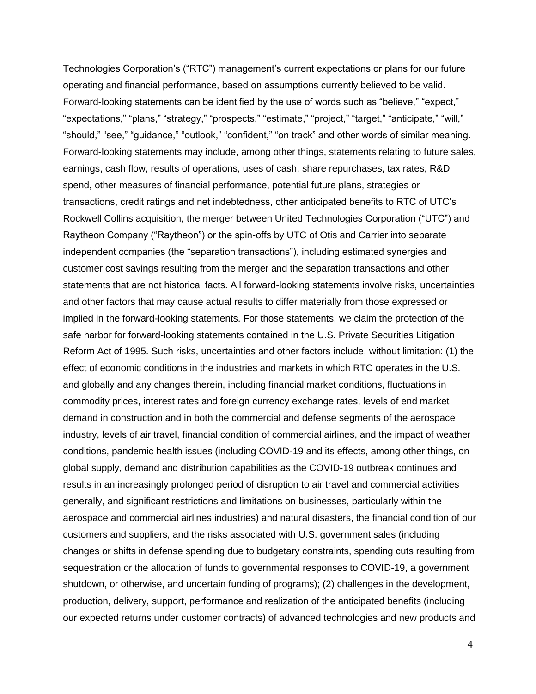Technologies Corporation's ("RTC") management's current expectations or plans for our future operating and financial performance, based on assumptions currently believed to be valid. Forward-looking statements can be identified by the use of words such as "believe," "expect," "expectations," "plans," "strategy," "prospects," "estimate," "project," "target," "anticipate," "will," "should," "see," "guidance," "outlook," "confident," "on track" and other words of similar meaning. Forward-looking statements may include, among other things, statements relating to future sales, earnings, cash flow, results of operations, uses of cash, share repurchases, tax rates, R&D spend, other measures of financial performance, potential future plans, strategies or transactions, credit ratings and net indebtedness, other anticipated benefits to RTC of UTC's Rockwell Collins acquisition, the merger between United Technologies Corporation ("UTC") and Raytheon Company ("Raytheon") or the spin-offs by UTC of Otis and Carrier into separate independent companies (the "separation transactions"), including estimated synergies and customer cost savings resulting from the merger and the separation transactions and other statements that are not historical facts. All forward-looking statements involve risks, uncertainties and other factors that may cause actual results to differ materially from those expressed or implied in the forward-looking statements. For those statements, we claim the protection of the safe harbor for forward-looking statements contained in the U.S. Private Securities Litigation Reform Act of 1995. Such risks, uncertainties and other factors include, without limitation: (1) the effect of economic conditions in the industries and markets in which RTC operates in the U.S. and globally and any changes therein, including financial market conditions, fluctuations in commodity prices, interest rates and foreign currency exchange rates, levels of end market demand in construction and in both the commercial and defense segments of the aerospace industry, levels of air travel, financial condition of commercial airlines, and the impact of weather conditions, pandemic health issues (including COVID-19 and its effects, among other things, on global supply, demand and distribution capabilities as the COVID-19 outbreak continues and results in an increasingly prolonged period of disruption to air travel and commercial activities generally, and significant restrictions and limitations on businesses, particularly within the aerospace and commercial airlines industries) and natural disasters, the financial condition of our customers and suppliers, and the risks associated with U.S. government sales (including changes or shifts in defense spending due to budgetary constraints, spending cuts resulting from sequestration or the allocation of funds to governmental responses to COVID-19, a government shutdown, or otherwise, and uncertain funding of programs); (2) challenges in the development, production, delivery, support, performance and realization of the anticipated benefits (including our expected returns under customer contracts) of advanced technologies and new products and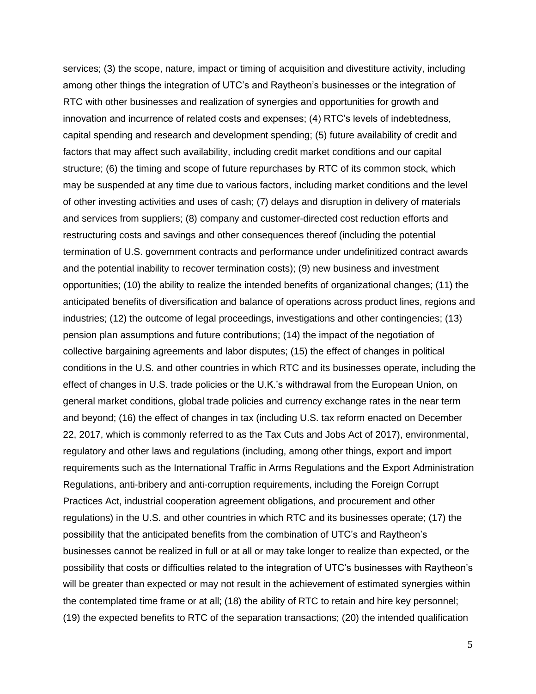services; (3) the scope, nature, impact or timing of acquisition and divestiture activity, including among other things the integration of UTC's and Raytheon's businesses or the integration of RTC with other businesses and realization of synergies and opportunities for growth and innovation and incurrence of related costs and expenses; (4) RTC's levels of indebtedness, capital spending and research and development spending; (5) future availability of credit and factors that may affect such availability, including credit market conditions and our capital structure; (6) the timing and scope of future repurchases by RTC of its common stock, which may be suspended at any time due to various factors, including market conditions and the level of other investing activities and uses of cash; (7) delays and disruption in delivery of materials and services from suppliers; (8) company and customer-directed cost reduction efforts and restructuring costs and savings and other consequences thereof (including the potential termination of U.S. government contracts and performance under undefinitized contract awards and the potential inability to recover termination costs); (9) new business and investment opportunities; (10) the ability to realize the intended benefits of organizational changes; (11) the anticipated benefits of diversification and balance of operations across product lines, regions and industries; (12) the outcome of legal proceedings, investigations and other contingencies; (13) pension plan assumptions and future contributions; (14) the impact of the negotiation of collective bargaining agreements and labor disputes; (15) the effect of changes in political conditions in the U.S. and other countries in which RTC and its businesses operate, including the effect of changes in U.S. trade policies or the U.K.'s withdrawal from the European Union, on general market conditions, global trade policies and currency exchange rates in the near term and beyond; (16) the effect of changes in tax (including U.S. tax reform enacted on December 22, 2017, which is commonly referred to as the Tax Cuts and Jobs Act of 2017), environmental, regulatory and other laws and regulations (including, among other things, export and import requirements such as the International Traffic in Arms Regulations and the Export Administration Regulations, anti-bribery and anti-corruption requirements, including the Foreign Corrupt Practices Act, industrial cooperation agreement obligations, and procurement and other regulations) in the U.S. and other countries in which RTC and its businesses operate; (17) the possibility that the anticipated benefits from the combination of UTC's and Raytheon's businesses cannot be realized in full or at all or may take longer to realize than expected, or the possibility that costs or difficulties related to the integration of UTC's businesses with Raytheon's will be greater than expected or may not result in the achievement of estimated synergies within the contemplated time frame or at all; (18) the ability of RTC to retain and hire key personnel; (19) the expected benefits to RTC of the separation transactions; (20) the intended qualification